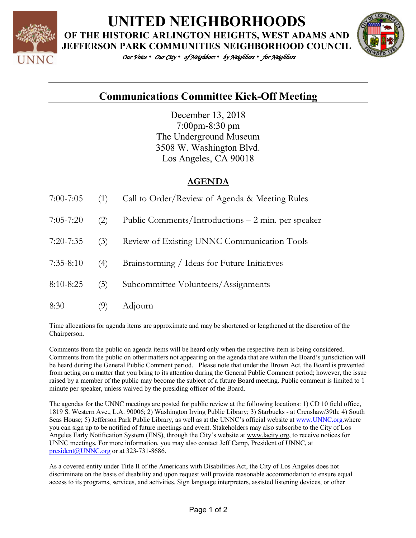

**UNITED NEIGHBORHOODS**

**OF THE HISTORIC ARLINGTON HEIGHTS, WEST ADAMS AND JEFFERSON PARK COMMUNITIES NEIGHBORHOOD COUNCIL**

*Our Voice • Our City • of Neighbors • by Neighbors • for Neighbors* 



## **Communications Committee Kick-Off Meeting**

December 13, 2018 7:00pm-8:30 pm The Underground Museum 3508 W. Washington Blvd. Los Angeles, CA 90018

## **AGENDA**

| $7:00 - 7:05$ | (1) | Call to Order/Review of Agenda & Meeting Rules     |
|---------------|-----|----------------------------------------------------|
| $7:05 - 7:20$ | (2) | Public Comments/Introductions – 2 min. per speaker |
| $7:20 - 7:35$ | (3) | Review of Existing UNNC Communication Tools        |
| $7:35 - 8:10$ | (4) | Brainstorming / Ideas for Future Initiatives       |
| 8:10-8:25     | (5) | Subcommittee Volunteers/Assignments                |
| 8:30          | (9) | Adjourn                                            |

Time allocations for agenda items are approximate and may be shortened or lengthened at the discretion of the Chairperson.

Comments from the public on agenda items will be heard only when the respective item is being considered. Comments from the public on other matters not appearing on the agenda that are within the Board's jurisdiction will be heard during the General Public Comment period. Please note that under the Brown Act, the Board is prevented from acting on a matter that you bring to its attention during the General Public Comment period; however, the issue raised by a member of the public may become the subject of a future Board meeting. Public comment is limited to 1 minute per speaker, unless waived by the presiding officer of the Board.

The agendas for the UNNC meetings are posted for public review at the following locations: 1) CD 10 field office, 1819 S. Western Ave., L.A. 90006; 2) Washington Irving Public Library; 3) Starbucks - at Crenshaw/39th; 4) South Seas House; 5) Jefferson Park Public Library, as well as at the UNNC's official website at www.UNNC.org.where you can sign up to be notified of future meetings and event. Stakeholders may also subscribe to the City of Los Angeles Early Notification System (ENS), through the City's website at www.lacity.org, to receive notices for UNNC meetings. For more information, you may also contact Jeff Camp, President of UNNC, at president@UNNC.org or at 323-731-8686.

As a covered entity under Title II of the Americans with Disabilities Act, the City of Los Angeles does not discriminate on the basis of disability and upon request will provide reasonable accommodation to ensure equal access to its programs, services, and activities. Sign language interpreters, assisted listening devices, or other